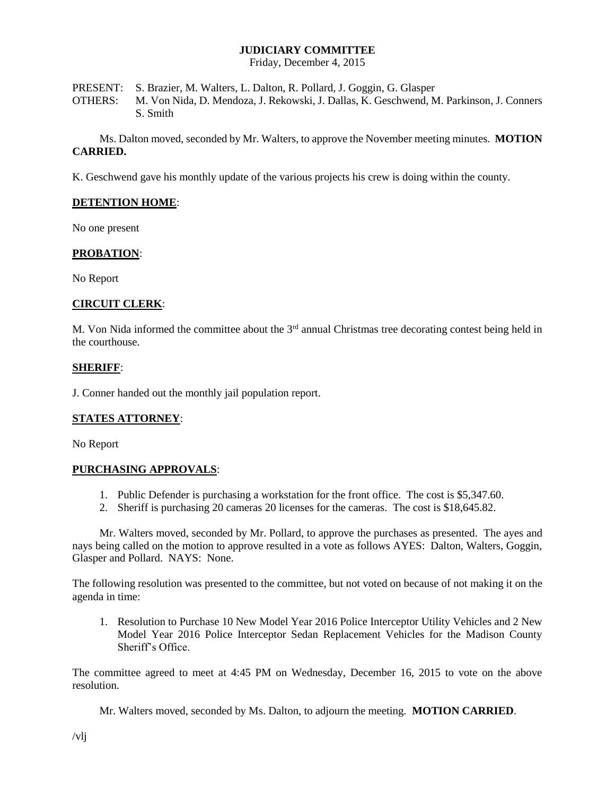# **JUDICIARY COMMITTEE**

Friday, December 4, 2015

PRESENT: S. Brazier, M. Walters, L. Dalton, R. Pollard, J. Goggin, G. Glasper OTHERS: M. Von Nida, D. Mendoza, J. Rekowski, J. Dallas, K. Geschwend, M. Parkinson, J. Conners S. Smith

Ms. Dalton moved, seconded by Mr. Walters, to approve the November meeting minutes. **MOTION CARRIED.**

K. Geschwend gave his monthly update of the various projects his crew is doing within the county.

# **DETENTION HOME**:

No one present

#### **PROBATION**:

No Report

#### **CIRCUIT CLERK**:

M. Von Nida informed the committee about the  $3<sup>rd</sup>$  annual Christmas tree decorating contest being held in the courthouse.

#### **SHERIFF**:

J. Conner handed out the monthly jail population report.

#### **STATES ATTORNEY**:

No Report

#### **PURCHASING APPROVALS**:

- 1. Public Defender is purchasing a workstation for the front office. The cost is \$5,347.60.
- 2. Sheriff is purchasing 20 cameras 20 licenses for the cameras. The cost is \$18,645.82.

Mr. Walters moved, seconded by Mr. Pollard, to approve the purchases as presented. The ayes and nays being called on the motion to approve resulted in a vote as follows AYES: Dalton, Walters, Goggin, Glasper and Pollard. NAYS: None.

The following resolution was presented to the committee, but not voted on because of not making it on the agenda in time:

1. Resolution to Purchase 10 New Model Year 2016 Police Interceptor Utility Vehicles and 2 New Model Year 2016 Police Interceptor Sedan Replacement Vehicles for the Madison County Sheriff's Office.

The committee agreed to meet at 4:45 PM on Wednesday, December 16, 2015 to vote on the above resolution.

Mr. Walters moved, seconded by Ms. Dalton, to adjourn the meeting. **MOTION CARRIED**.